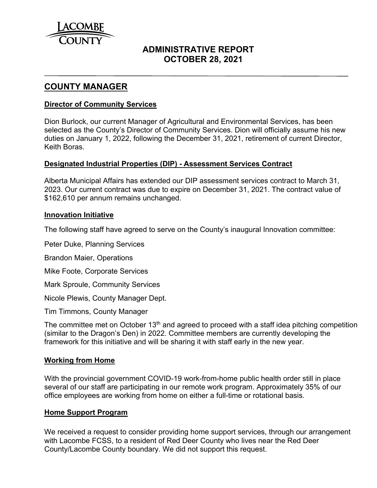

# **ADMINISTRATIVE REPORT OCTOBER 28, 2021**

## **COUNTY MANAGER**

### **Director of Community Services**

Dion Burlock, our current Manager of Agricultural and Environmental Services, has been selected as the County's Director of Community Services. Dion will officially assume his new duties on January 1, 2022, following the December 31, 2021, retirement of current Director, Keith Boras.

### **Designated Industrial Properties (DIP) - Assessment Services Contract**

Alberta Municipal Affairs has extended our DIP assessment services contract to March 31, 2023. Our current contract was due to expire on December 31, 2021. The contract value of \$162,610 per annum remains unchanged.

### **Innovation Initiative**

The following staff have agreed to serve on the County's inaugural Innovation committee:

Peter Duke, Planning Services

Brandon Maier, Operations

Mike Foote, Corporate Services

Mark Sproule, Community Services

Nicole Plewis, County Manager Dept.

Tim Timmons, County Manager

The committee met on October 13<sup>th</sup> and agreed to proceed with a staff idea pitching competition (similar to the Dragon's Den) in 2022. Committee members are currently developing the framework for this initiative and will be sharing it with staff early in the new year.

### **Working from Home**

With the provincial government COVID-19 work-from-home public health order still in place several of our staff are participating in our remote work program. Approximately 35% of our office employees are working from home on either a full-time or rotational basis.

#### **Home Support Program**

We received a request to consider providing home support services, through our arrangement with Lacombe FCSS, to a resident of Red Deer County who lives near the Red Deer County/Lacombe County boundary. We did not support this request.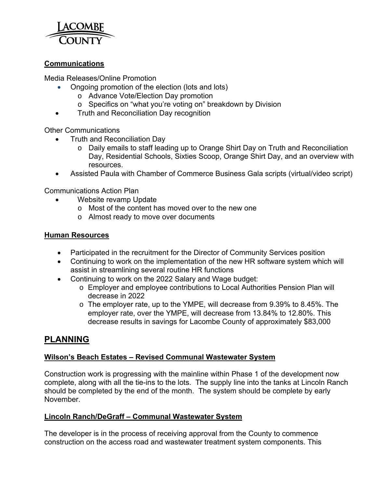

## **Communications**

Media Releases/Online Promotion

- Ongoing promotion of the election (lots and lots)
	- o Advance Vote/Election Day promotion
	- o Specifics on "what you're voting on" breakdown by Division
- **•** Truth and Reconciliation Day recognition

Other Communications

- Truth and Reconciliation Day
	- o Daily emails to staff leading up to Orange Shirt Day on Truth and Reconciliation Day, Residential Schools, Sixties Scoop, Orange Shirt Day, and an overview with resources.
- Assisted Paula with Chamber of Commerce Business Gala scripts (virtual/video script)

Communications Action Plan

- Website revamp Update
	- $\circ$  Most of the content has moved over to the new one
	- o Almost ready to move over documents

### **Human Resources**

- Participated in the recruitment for the Director of Community Services position
- Continuing to work on the implementation of the new HR software system which will assist in streamlining several routine HR functions
- Continuing to work on the 2022 Salary and Wage budget:
	- o Employer and employee contributions to Local Authorities Pension Plan will decrease in 2022
	- o The employer rate, up to the YMPE, will decrease from 9.39% to 8.45%. The employer rate, over the YMPE, will decrease from 13.84% to 12.80%. This decrease results in savings for Lacombe County of approximately \$83,000

# **PLANNING**

## **Wilson's Beach Estates – Revised Communal Wastewater System**

Construction work is progressing with the mainline within Phase 1 of the development now complete, along with all the tie-ins to the lots. The supply line into the tanks at Lincoln Ranch should be completed by the end of the month. The system should be complete by early November.

### **Lincoln Ranch/DeGraff – Communal Wastewater System**

The developer is in the process of receiving approval from the County to commence construction on the access road and wastewater treatment system components. This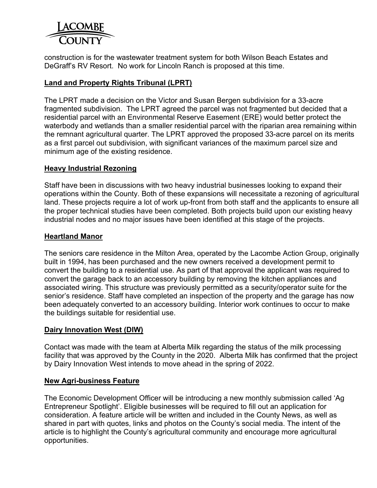

construction is for the wastewater treatment system for both Wilson Beach Estates and DeGraff's RV Resort. No work for Lincoln Ranch is proposed at this time.

## **Land and Property Rights Tribunal (LPRT)**

The LPRT made a decision on the Victor and Susan Bergen subdivision for a 33-acre fragmented subdivision. The LPRT agreed the parcel was not fragmented but decided that a residential parcel with an Environmental Reserve Easement (ERE) would better protect the waterbody and wetlands than a smaller residential parcel with the riparian area remaining within the remnant agricultural quarter. The LPRT approved the proposed 33-acre parcel on its merits as a first parcel out subdivision, with significant variances of the maximum parcel size and minimum age of the existing residence.

### **Heavy Industrial Rezoning**

Staff have been in discussions with two heavy industrial businesses looking to expand their operations within the County. Both of these expansions will necessitate a rezoning of agricultural land. These projects require a lot of work up-front from both staff and the applicants to ensure all the proper technical studies have been completed. Both projects build upon our existing heavy industrial nodes and no major issues have been identified at this stage of the projects.

## **Heartland Manor**

The seniors care residence in the Milton Area, operated by the Lacombe Action Group, originally built in 1994, has been purchased and the new owners received a development permit to convert the building to a residential use. As part of that approval the applicant was required to convert the garage back to an accessory building by removing the kitchen appliances and associated wiring. This structure was previously permitted as a security/operator suite for the senior's residence. Staff have completed an inspection of the property and the garage has now been adequately converted to an accessory building. Interior work continues to occur to make the buildings suitable for residential use.

### **Dairy Innovation West (DIW)**

Contact was made with the team at Alberta Milk regarding the status of the milk processing facility that was approved by the County in the 2020. Alberta Milk has confirmed that the project by Dairy Innovation West intends to move ahead in the spring of 2022.

### **New Agri-business Feature**

The Economic Development Officer will be introducing a new monthly submission called 'Ag Entrepreneur Spotlight'. Eligible businesses will be required to fill out an application for consideration. A feature article will be written and included in the County News, as well as shared in part with quotes, links and photos on the County's social media. The intent of the article is to highlight the County's agricultural community and encourage more agricultural opportunities.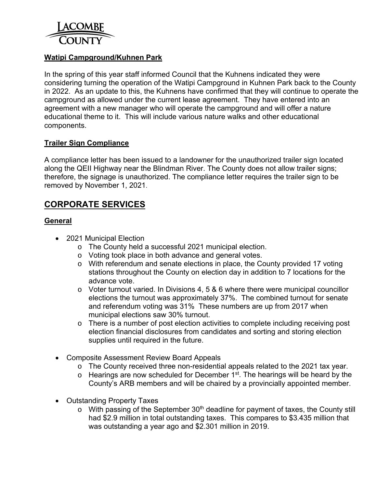

## **Watipi Campground/Kuhnen Park**

In the spring of this year staff informed Council that the Kuhnens indicated they were considering turning the operation of the Watipi Campground in Kuhnen Park back to the County in 2022. As an update to this, the Kuhnens have confirmed that they will continue to operate the campground as allowed under the current lease agreement. They have entered into an agreement with a new manager who will operate the campground and will offer a nature educational theme to it. This will include various nature walks and other educational components.

### **Trailer Sign Compliance**

A compliance letter has been issued to a landowner for the unauthorized trailer sign located along the QEII Highway near the Blindman River. The County does not allow trailer signs; therefore, the signage is unauthorized. The compliance letter requires the trailer sign to be removed by November 1, 2021.

# **CORPORATE SERVICES**

## **General**

- 2021 Municipal Election
	- o The County held a successful 2021 municipal election.
	- o Voting took place in both advance and general votes.
	- o With referendum and senate elections in place, the County provided 17 voting stations throughout the County on election day in addition to 7 locations for the advance vote.
	- o Voter turnout varied. In Divisions 4, 5 & 6 where there were municipal councillor elections the turnout was approximately 37%. The combined turnout for senate and referendum voting was 31% These numbers are up from 2017 when municipal elections saw 30% turnout.
	- o There is a number of post election activities to complete including receiving post election financial disclosures from candidates and sorting and storing election supplies until required in the future.
- Composite Assessment Review Board Appeals
	- o The County received three non-residential appeals related to the 2021 tax year.
	- $\circ$  Hearings are now scheduled for December 1<sup>st</sup>. The hearings will be heard by the County's ARB members and will be chaired by a provincially appointed member.
- Outstanding Property Taxes
	- $\circ$  With passing of the September 30<sup>th</sup> deadline for payment of taxes, the County still had \$2.9 million in total outstanding taxes. This compares to \$3.435 million that was outstanding a year ago and \$2.301 million in 2019.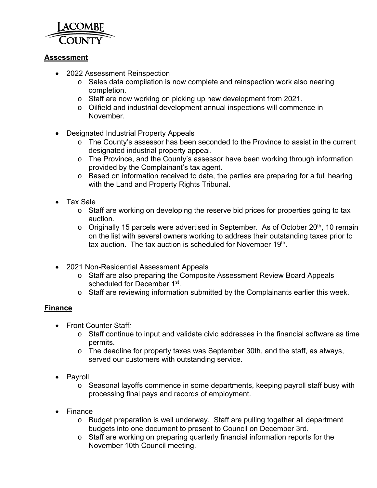

## **Assessment**

- 2022 Assessment Reinspection
	- o Sales data compilation is now complete and reinspection work also nearing completion.
	- o Staff are now working on picking up new development from 2021.
	- o Oilfield and industrial development annual inspections will commence in November.
- Designated Industrial Property Appeals
	- o The County's assessor has been seconded to the Province to assist in the current designated industrial property appeal.
	- o The Province, and the County's assessor have been working through information provided by the Complainant's tax agent.
	- o Based on information received to date, the parties are preparing for a full hearing with the Land and Property Rights Tribunal.
- Tax Sale
	- o Staff are working on developing the reserve bid prices for properties going to tax auction.
	- $\circ$  Originally 15 parcels were advertised in September. As of October 20<sup>th</sup>, 10 remain on the list with several owners working to address their outstanding taxes prior to tax auction. The tax auction is scheduled for November 19<sup>th</sup>.
- 2021 Non-Residential Assessment Appeals
	- o Staff are also preparing the Composite Assessment Review Board Appeals scheduled for December 1<sup>st</sup>.
	- o Staff are reviewing information submitted by the Complainants earlier this week.

## **Finance**

- Front Counter Staff*:* 
	- o Staff continue to input and validate civic addresses in the financial software as time permits.
	- o The deadline for property taxes was September 30th, and the staff, as always, served our customers with outstanding service.
- Pavroll
	- o Seasonal layoffs commence in some departments, keeping payroll staff busy with processing final pays and records of employment.
- Finance
	- o Budget preparation is well underway. Staff are pulling together all department budgets into one document to present to Council on December 3rd.
	- o Staff are working on preparing quarterly financial information reports for the November 10th Council meeting.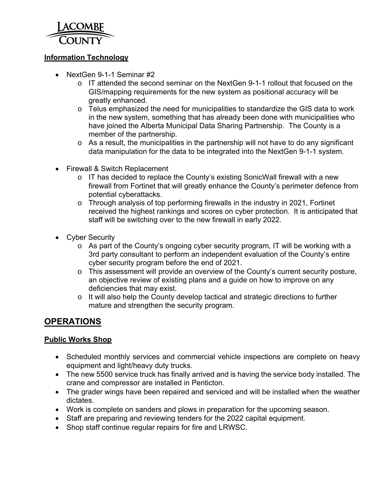

## **Information Technology**

- NextGen 9-1-1 Seminar #2
	- o IT attended the second seminar on the NextGen 9-1-1 rollout that focused on the GIS/mapping requirements for the new system as positional accuracy will be greatly enhanced.
	- $\circ$  Telus emphasized the need for municipalities to standardize the GIS data to work in the new system, something that has already been done with municipalities who have joined the Alberta Municipal Data Sharing Partnership. The County is a member of the partnership.
	- $\circ$  As a result, the municipalities in the partnership will not have to do any significant data manipulation for the data to be integrated into the NextGen 9-1-1 system.
- Firewall & Switch Replacement
	- o IT has decided to replace the County's existing SonicWall firewall with a new firewall from Fortinet that will greatly enhance the County's perimeter defence from potential cyberattacks.
	- o Through analysis of top performing firewalls in the industry in 2021, Fortinet received the highest rankings and scores on cyber protection. It is anticipated that staff will be switching over to the new firewall in early 2022.
- Cyber Security
	- o As part of the County's ongoing cyber security program, IT will be working with a 3rd party consultant to perform an independent evaluation of the County's entire cyber security program before the end of 2021.
	- o This assessment will provide an overview of the County's current security posture, an objective review of existing plans and a guide on how to improve on any deficiencies that may exist.
	- o It will also help the County develop tactical and strategic directions to further mature and strengthen the security program.

# **OPERATIONS**

### **Public Works Shop**

- Scheduled monthly services and commercial vehicle inspections are complete on heavy equipment and light/heavy duty trucks.
- The new 5500 service truck has finally arrived and is having the service body installed. The crane and compressor are installed in Penticton.
- The grader wings have been repaired and serviced and will be installed when the weather dictates.
- Work is complete on sanders and plows in preparation for the upcoming season.
- Staff are preparing and reviewing tenders for the 2022 capital equipment.
- Shop staff continue regular repairs for fire and LRWSC.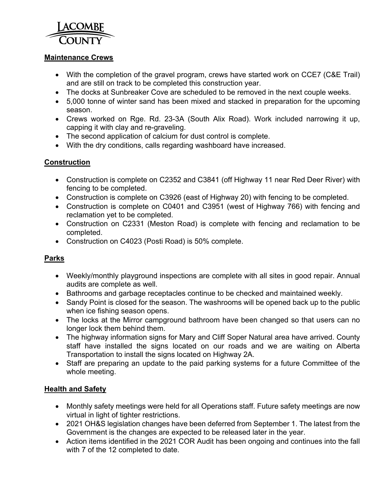

### **Maintenance Crews**

- With the completion of the gravel program, crews have started work on CCE7 (C&E Trail) and are still on track to be completed this construction year.
- The docks at Sunbreaker Cove are scheduled to be removed in the next couple weeks.
- 5,000 tonne of winter sand has been mixed and stacked in preparation for the upcoming season.
- Crews worked on Rge. Rd. 23-3A (South Alix Road). Work included narrowing it up, capping it with clay and re-graveling.
- The second application of calcium for dust control is complete.
- With the dry conditions, calls regarding washboard have increased.

## **Construction**

- Construction is complete on C2352 and C3841 (off Highway 11 near Red Deer River) with fencing to be completed.
- Construction is complete on C3926 (east of Highway 20) with fencing to be completed.
- Construction is complete on C0401 and C3951 (west of Highway 766) with fencing and reclamation yet to be completed.
- Construction on C2331 (Meston Road) is complete with fencing and reclamation to be completed.
- Construction on C4023 (Posti Road) is 50% complete.

## **Parks**

- Weekly/monthly playground inspections are complete with all sites in good repair. Annual audits are complete as well.
- Bathrooms and garbage receptacles continue to be checked and maintained weekly.
- Sandy Point is closed for the season. The washrooms will be opened back up to the public when ice fishing season opens.
- The locks at the Mirror campground bathroom have been changed so that users can no longer lock them behind them.
- The highway information signs for Mary and Cliff Soper Natural area have arrived. County staff have installed the signs located on our roads and we are waiting on Alberta Transportation to install the signs located on Highway 2A.
- Staff are preparing an update to the paid parking systems for a future Committee of the whole meeting.

## **Health and Safety**

- Monthly safety meetings were held for all Operations staff. Future safety meetings are now virtual in light of tighter restrictions.
- 2021 OH&S legislation changes have been deferred from September 1. The latest from the Government is the changes are expected to be released later in the year.
- Action items identified in the 2021 COR Audit has been ongoing and continues into the fall with 7 of the 12 completed to date.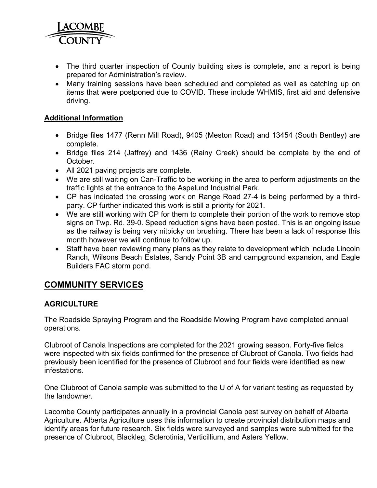

- The third quarter inspection of County building sites is complete, and a report is being prepared for Administration's review.
- Many training sessions have been scheduled and completed as well as catching up on items that were postponed due to COVID. These include WHMIS, first aid and defensive driving.

### **Additional Information**

- Bridge files 1477 (Renn Mill Road), 9405 (Meston Road) and 13454 (South Bentley) are complete.
- Bridge files 214 (Jaffrey) and 1436 (Rainy Creek) should be complete by the end of October.
- All 2021 paving projects are complete.
- We are still waiting on Can-Traffic to be working in the area to perform adjustments on the traffic lights at the entrance to the Aspelund Industrial Park.
- CP has indicated the crossing work on Range Road 27-4 is being performed by a thirdparty. CP further indicated this work is still a priority for 2021.
- We are still working with CP for them to complete their portion of the work to remove stop signs on Twp. Rd. 39-0. Speed reduction signs have been posted. This is an ongoing issue as the railway is being very nitpicky on brushing. There has been a lack of response this month however we will continue to follow up.
- Staff have been reviewing many plans as they relate to development which include Lincoln Ranch, Wilsons Beach Estates, Sandy Point 3B and campground expansion, and Eagle Builders FAC storm pond.

# **COMMUNITY SERVICES**

### **AGRICULTURE**

The Roadside Spraying Program and the Roadside Mowing Program have completed annual operations.

Clubroot of Canola Inspections are completed for the 2021 growing season. Forty-five fields were inspected with six fields confirmed for the presence of Clubroot of Canola. Two fields had previously been identified for the presence of Clubroot and four fields were identified as new infestations.

One Clubroot of Canola sample was submitted to the U of A for variant testing as requested by the landowner.

Lacombe County participates annually in a provincial Canola pest survey on behalf of Alberta Agriculture. Alberta Agriculture uses this information to create provincial distribution maps and identify areas for future research. Six fields were surveyed and samples were submitted for the presence of Clubroot, Blackleg, Sclerotinia, Verticillium, and Asters Yellow.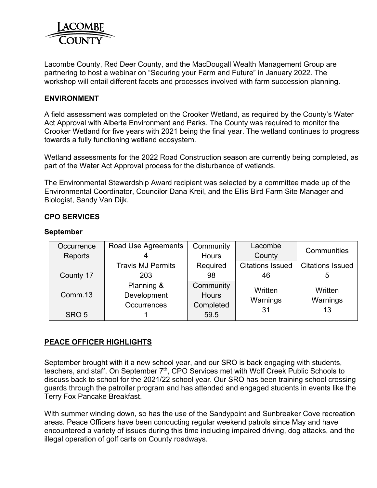

Lacombe County, Red Deer County, and the MacDougall Wealth Management Group are partnering to host a webinar on "Securing your Farm and Future" in January 2022. The workshop will entail different facets and processes involved with farm succession planning.

### **ENVIRONMENT**

A field assessment was completed on the Crooker Wetland, as required by the County's Water Act Approval with Alberta Environment and Parks. The County was required to monitor the Crooker Wetland for five years with 2021 being the final year. The wetland continues to progress towards a fully functioning wetland ecosystem.

Wetland assessments for the 2022 Road Construction season are currently being completed, as part of the Water Act Approval process for the disturbance of wetlands.

The Environmental Stewardship Award recipient was selected by a committee made up of the Environmental Coordinator, Councilor Dana Kreil, and the Ellis Bird Farm Site Manager and Biologist, Sandy Van Dijk.

### **CPO SERVICES**

#### **September**

| Occurrence       | Road Use Agreements      | Community    | Lacombe                 | Communities             |  |
|------------------|--------------------------|--------------|-------------------------|-------------------------|--|
| Reports          |                          | <b>Hours</b> | County                  |                         |  |
|                  | <b>Travis MJ Permits</b> | Required     | <b>Citations Issued</b> | <b>Citations Issued</b> |  |
| County 17        | 203                      | 98           | 46                      | 5                       |  |
|                  | Planning &               | Community    | Written                 | Written<br>Warnings     |  |
| Comm.13          | Development              | <b>Hours</b> | Warnings                |                         |  |
|                  | <b>Occurrences</b>       | Completed    | 31                      | 13                      |  |
| SRO <sub>5</sub> |                          | 59.5         |                         |                         |  |

### **PEACE OFFICER HIGHLIGHTS**

September brought with it a new school year, and our SRO is back engaging with students, teachers, and staff. On September 7<sup>th</sup>, CPO Services met with Wolf Creek Public Schools to discuss back to school for the 2021/22 school year. Our SRO has been training school crossing guards through the patroller program and has attended and engaged students in events like the Terry Fox Pancake Breakfast.

With summer winding down, so has the use of the Sandypoint and Sunbreaker Cove recreation areas. Peace Officers have been conducting regular weekend patrols since May and have encountered a variety of issues during this time including impaired driving, dog attacks, and the illegal operation of golf carts on County roadways.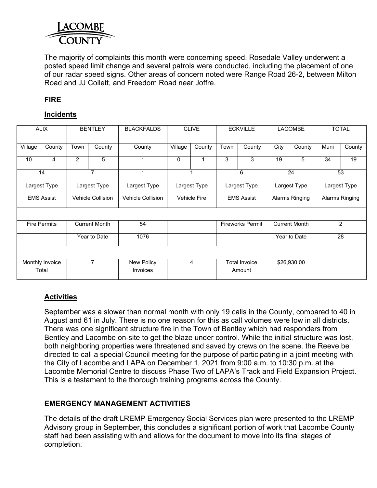

The majority of complaints this month were concerning speed. Rosedale Valley underwent a posted speed limit change and several patrols were conducted, including the placement of one of our radar speed signs. Other areas of concern noted were Range Road 26-2, between Milton Road and JJ Collett, and Freedom Road near Joffre.

## **FIRE**

## **Incidents**

| <b>ALIX</b>              |        | <b>BENTLEY</b>       |                          | <b>BLACKFALDS</b>             | <b>CLIVE</b>        |        | <b>ECKVILLE</b>                |        | <b>LACOMBE</b>       |        | <b>TOTAL</b>   |        |
|--------------------------|--------|----------------------|--------------------------|-------------------------------|---------------------|--------|--------------------------------|--------|----------------------|--------|----------------|--------|
| Village                  | County | Town                 | County                   | County                        | Village             | County | Town                           | County | City                 | County | Muni           | County |
| 10                       | 4      | $\overline{2}$       | 5                        |                               | $\Omega$            | 1      | 3                              | 3      | 19                   | 5      | 34             | 19     |
| 14                       |        |                      | $\overline{7}$           |                               | 1                   |        | 6                              |        | 24                   |        | 53             |        |
| Largest Type             |        |                      | Largest Type             | Largest Type                  | Largest Type        |        | Largest Type                   |        | Largest Type         |        | Largest Type   |        |
| <b>EMS Assist</b>        |        |                      | <b>Vehicle Collision</b> | <b>Vehicle Collision</b>      | <b>Vehicle Fire</b> |        | <b>EMS Assist</b>              |        | Alarms Ringing       |        | Alarms Ringing |        |
|                          |        |                      |                          |                               |                     |        |                                |        |                      |        |                |        |
| <b>Fire Permits</b>      |        | <b>Current Month</b> |                          | 54                            |                     |        | <b>Fireworks Permit</b>        |        | <b>Current Month</b> |        | 2              |        |
|                          |        | Year to Date         |                          | 1076                          |                     |        |                                |        | Year to Date         |        | 28             |        |
|                          |        |                      |                          |                               |                     |        |                                |        |                      |        |                |        |
| Monthly Invoice<br>Total |        | $\overline{7}$       |                          | New Policy<br><b>Invoices</b> | 4                   |        | <b>Total Invoice</b><br>Amount |        | \$26,930.00          |        |                |        |
|                          |        |                      |                          |                               |                     |        |                                |        |                      |        |                |        |

## **Activities**

September was a slower than normal month with only 19 calls in the County, compared to 40 in August and 61 in July. There is no one reason for this as call volumes were low in all districts. There was one significant structure fire in the Town of Bentley which had responders from Bentley and Lacombe on-site to get the blaze under control. While the initial structure was lost, both neighboring properties were threatened and saved by crews on the scene. the Reeve be directed to call a special Council meeting for the purpose of participating in a joint meeting with the City of Lacombe and LAPA on December 1, 2021 from 9:00 a.m. to 10:30 p.m. at the Lacombe Memorial Centre to discuss Phase Two of LAPA's Track and Field Expansion Project. This is a testament to the thorough training programs across the County.

### **EMERGENCY MANAGEMENT ACTIVITIES**

The details of the draft LREMP Emergency Social Services plan were presented to the LREMP Advisory group in September, this concludes a significant portion of work that Lacombe County staff had been assisting with and allows for the document to move into its final stages of completion.